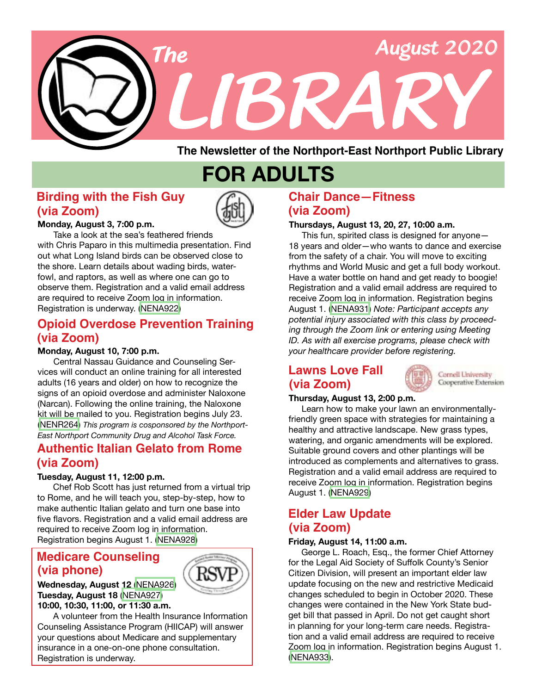

**The Newsletter of the Northport-East Northport Public Library**

## **FOR ADULTS**

#### **Birding with the Fish Guy (via Zoom)**



**Monday, August 3, 7:00 p.m.**

 Take a look at the sea's feathered friends with Chris Paparo in this multimedia presentation. Find out what Long Island birds can be observed close to the shore. Learn details about wading birds, waterfowl, and raptors, as well as where one can go to observe them. Registration and a valid email address are required to receive Zoom log in information. Registration is underway. ([NENA922](https://search.livebrary.com/record=g1100036~S43))

## **Opioid Overdose Prevention Training (via Zoom)**

#### **Monday, August 10, 7:00 p.m.**

 Central Nassau Guidance and Counseling Services will conduct an online training for all interested adults (16 years and older) on how to recognize the signs of an opioid overdose and administer Naloxone (Narcan). Following the online training, the Naloxone kit will be mailed to you. Registration begins July 23. ([NENR264\)](https://search.livebrary.com/record=g1100361~S43) *This program is cosponsored by the Northport-East Northport Community Drug and Alcohol Task Force.*

#### **Authentic Italian Gelato from Rome (via Zoom)**

#### **Tuesday, August 11, 12:00 p.m.**

 Chef Rob Scott has just returned from a virtual trip to Rome, and he will teach you, step-by-step, how to make authentic Italian gelato and turn one base into five flavors. Registration and a valid email address are required to receive Zoom log in information. Registration begins August 1. ([NENA928](https://search.livebrary.com/record=g1100247~S43))

## **Medicare Counseling (via phone)**



**Wednesday, August 12** [\(NENA926](https://search.livebrary.com/record=g1100280~S43)) **Tuesday, August 18** ([NENA927\)](https://search.livebrary.com/record=g1100282~S43) **10:00, 10:30, 11:00, or 11:30 a.m.**

A volunteer from the Health Insurance Information Counseling Assistance Program (HIICAP) will answer your questions about Medicare and supplementary insurance in a one-on-one phone consultation. Registration is underway.

#### **Chair Dance—Fitness (via Zoom)**

#### **Thursdays, August 13, 20, 27, 10:00 a.m.**

 This fun, spirited class is designed for anyone— 18 years and older—who wants to dance and exercise from the safety of a chair. You will move to exciting rhythms and World Music and get a full body workout. Have a water bottle on hand and get ready to boogie! Registration and a valid email address are required to receive Zoom log in information. Registration begins August 1. [\(NENA931\)](https://search.livebrary.com/record=g1100272~S43) *Note: Participant accepts any potential injury associated with this class by proceeding through the Zoom link or entering using Meeting ID. As with all exercise programs, please check with your healthcare provider before registering.*

#### **Lawns Love Fall (via Zoom)**



Cornell University Cooperative Extension

#### **Thursday, August 13, 2:00 p.m.**

 Learn how to make your lawn an environmentallyfriendly green space with strategies for maintaining a healthy and attractive landscape. New grass types, watering, and organic amendments will be explored. Suitable ground covers and other plantings will be introduced as complements and alternatives to grass. Registration and a valid email address are required to receive Zoom log in information. Registration begins August 1. ([NENA929\)](https://search.livebrary.com/record=g1100249~S43)

#### **Elder Law Update (via Zoom)**

#### **Friday, August 14, 11:00 a.m.**

 George L. Roach, Esq., the former Chief Attorney for the Legal Aid Society of Suffolk County's Senior Citizen Division, will present an important elder law update focusing on the new and restrictive Medicaid changes scheduled to begin in October 2020. These changes were contained in the New York State budget bill that passed in April. Do not get caught short in planning for your long-term care needs. Registration and a valid email address are required to receive Zoom log in information. Registration begins August 1. [\(NENA933\)](https://search.livebrary.com/record=g1100400~S43).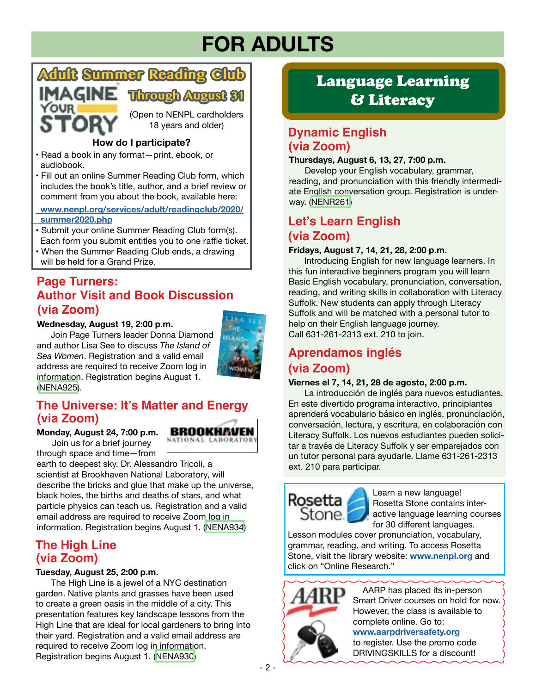## **FOR ADULTS**



#### **How do I participate?**

- Read a book in any format—print, ebook, or audiobook.
- Fill out an online Summer Reading Club form, which includes the book's title, author, and a brief review or comment from you about the book, available here:

 **[www.nenpl.org/services/adult/readingclub/2020/](https://www.nenpl.org/services/adult/readingclub/2020/summer2020.php)  [summer2020.php](https://www.nenpl.org/services/adult/readingclub/2020/summer2020.php)**

- Submit your online Summer Reading Club form(s). Each form you submit entitles you to one raffle ticket.
- When the Summer Reading Club ends, a drawing will be held for a Grand Prize.

#### **Page Turners: (via Zoom) Author Visit and Book Discussion**

#### **Wednesday, August 19, 2:00 p.m.**

 Join Page Turners leader Donna Diamond and author Lisa See to discuss *The Island of Sea Women*. Registration and a valid email address are required to receive Zoom log in information. Registration begins August 1. ([NENA925](https://search.livebrary.com/record=g1100047~S43)).



BROOKHAVEN

### **The Universe: It's Matter and Energy (via Zoom)**

**Monday, August 24, 7:00 p.m.** Join us for a brief journey

through space and time—from

earth to deepest sky. Dr. Alessandro Tricoli, a scientist at Brookhaven National Laboratory, will describe the bricks and glue that make up the universe, black holes, the births and deaths of stars, and what particle physics can teach us. Registration and a valid email address are required to receive Zoom log in information. Registration begins August 1. ([NENA934\)](https://search.livebrary.com/record=g1100403~S43)

### **The High Line (via Zoom)**

#### **Tuesday, August 25, 2:00 p.m.**

 The High Line is a jewel of a NYC destination garden. Native plants and grasses have been used to create a green oasis in the middle of a city. This presentation features key landscape lessons from the High Line that are ideal for local gardeners to bring into their yard. Registration and a valid email address are required to receive Zoom log in information. Registration begins August 1. ([NENA930\)](https://search.livebrary.com/record=g1100251~S43)

## Language Learning & Literacy

### **Dynamic English (via Zoom)**

#### **Thursdays, August 6, 13, 27, 7:00 p.m.**

Develop your English vocabulary, grammar, reading, and pronunciation with this friendly intermediate English conversation group. Registration is underway. ([NENR261\)](https://search.livebrary.com/record=g1099946~S43)

## **Let's Learn English (via Zoom)**

#### **Fridays, August 7, 14, 21, 28, 2:00 p.m.**

Introducing English for new language learners. In this fun interactive beginners program you will learn Basic English vocabulary, pronunciation, conversation, reading, and writing skills in collaboration with Literacy Suffolk. New students can apply through Literacy Suffolk and will be matched with a personal tutor to help on their English language journey. Call 631-261-2313 ext. 210 to join.

## **Aprendamos inglés (via Zoom)**

#### **Viernes el 7, 14, 21, 28 de agosto, 2:00 p.m.**

La introducción de inglés para nuevos estudiantes. En este divertido programa interactivo, principiantes aprenderá vocabulario básico en inglés, pronunciación, conversación, lectura, y escritura, en colaboración con Literacy Suffolk. Los nuevos estudiantes pueden solicitar a través de Literacy Suffolk y ser emparejados con un tutor personal para ayudarle. Llame 631-261-2313 ext. 210 para participar.

Stone.

**Depart of the Learn a new language!** Rosetta Stone contains interactive language learning courses for 30 different languages.

Lesson modules cover pronunciation, vocabulary, grammar, reading, and writing. To access Rosetta Stone, visit the library website: **[www.nenpl.org](https://www.nenpl.org/)** and click on "Online Research."



 AARP has placed its in-person Smart Driver courses on hold for now. However, the class is available to complete online. Go to: **[www.aarpdriversafety.org](https://www.aarpdriversafety.org/)**

to register. Use the promo code DRIVINGSKILLS for a discount!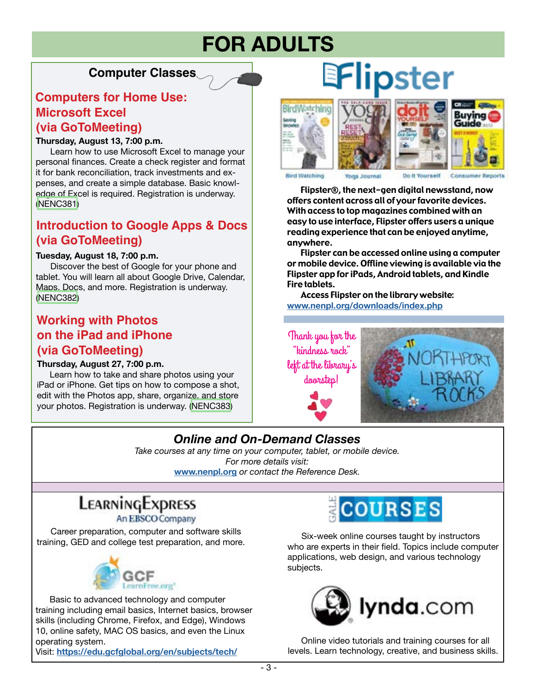## **FOR ADULTS**

### **Computer Classes**

### **Computers for Home Use: (via GoToMeeting) Microsoft Excel**

#### **Thursday, August 13, 7:00 p.m.**

 Learn how to use Microsoft Excel to manage your personal finances. Create a check register and format it for bank reconciliation, track investments and expenses, and create a simple database. Basic knowledge of Excel is required. Registration is underway. [\(NENC381\)](https://search.livebrary.com/record=g1100159~S43)

## **Introduction to Google Apps & Docs (via GoToMeeting)**

#### **Tuesday, August 18, 7:00 p.m.**

 Discover the best of Google for your phone and tablet. You will learn all about Google Drive, Calendar, Maps, Docs, and more. Registration is underway. ([NENC382\)](https://search.livebrary.com/record=g1100160~S43)

### **Working with Photos (via GoToMeeting) on the iPad and iPhone**

#### **Thursday, August 27, 7:00 p.m.**

 Learn how to take and share photos using your iPad or iPhone. Get tips on how to compose a shot, edit with the Photos app, share, organize, and store your photos. Registration is underway. ([NENC383](https://search.livebrary.com/record=g1100161~S43))

# **EFlipster**





Yourself

 Flipster®, the next-gen digital newsstand, now offers content across all of your favorite devices. With access to top magazines combined with an easy to use interface, Flipster offers users a unique reading experience that can be enjoyed anytime, anywhere.

 Flipster can be accessed online using a computer or mobile device. Offline viewing is available via the Flipster app for iPads, Android tablets, and Kindle Fire tablets.

 Access Flipster on the library website: **[www.nenpl.org/downloads/index.php](https://www.nenpl.org/downloads/index.php)**

Thank you for the "kindness rock" left at the library's doorstep!



## *Online and On-Demand Classes*

*Take courses at any time on your computer, tablet, or mobile device. For more details visit:* **[www.nenpl.org](https://www.nenpl.org/)** *or contact the Reference Desk.*

## LEARNINGEXPRESS

An EBSCO Company

 Career preparation, computer and software skills training, GED and college test preparation, and more.



 Basic to advanced technology and computer training including email basics, Internet basics, browser skills (including Chrome, Firefox, and Edge), Windows 10, online safety, MAC OS basics, and even the Linux operating system.

Visit: **<https://edu.gcfglobal.org/en/subjects/tech/>**



 Six-week online courses taught by instructors who are experts in their field. Topics include computer applications, web design, and various technology subjects.



 Online video tutorials and training courses for all levels. Learn technology, creative, and business skills.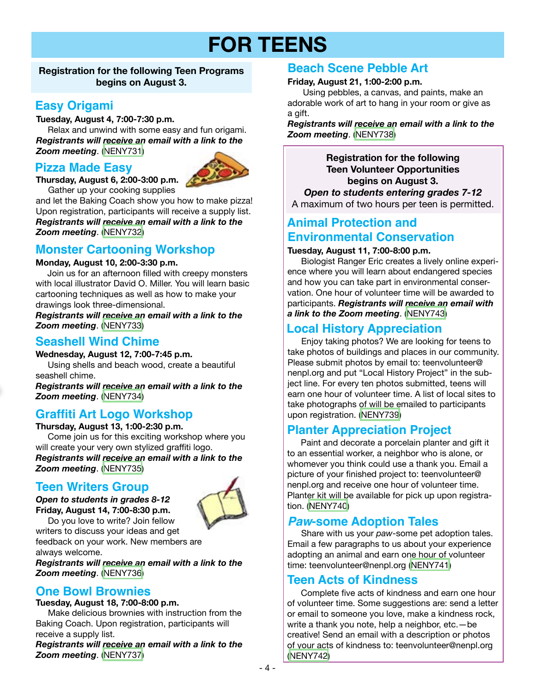## **FOR TEENS**

#### **Registration for the following Teen Programs begins on August 3.**

### **Easy Origami**

#### **Tuesday, August 4, 7:00-7:30 p.m.**

Relax and unwind with some easy and fun origami. *Registrants will receive an email with a link to the Zoom meeting*. ([NENY731](https://search.livebrary.com/record=g1100452~S43))

#### **Pizza Made Easy**



**Thursday, August 6, 2:00-3:00 p.m.** 

Gather up your cooking supplies and let the Baking Coach show you how to make pizza! Upon registration, participants will receive a supply list. *Registrants will receive an email with a link to the Zoom meeting*. [\(NENY732](https://search.livebrary.com/record=g1100454~S43))

## **Monster Cartooning Workshop**

#### **Monday, August 10, 2:00-3:30 p.m.**

Join us for an afternoon filled with creepy monsters with local illustrator David O. Miller. You will learn basic cartooning techniques as well as how to make your drawings look three-dimensional.

*Registrants will receive an email with a link to the Zoom meeting*. [\(NENY733\)](https://search.livebrary.com/record=g1100456~S43)

#### **Seashell Wind Chime**

## **Wednesday, August 12, 7:00-7:45 p.m.**

 Using shells and beach wood, create a beautiful seashell chime.

*Registrants will receive an email with a link to the Zoom meeting*. [\(NENY734\)](https://search.livebrary.com/record=g1100458~S43)

#### **Graffiti Art Logo Workshop**

**Thursday, August 13, 1:00-2:30 p.m.**  Come join us for this exciting workshop where you will create your very own stylized graffiti logo. *Registrants will receive an email with a link to the Zoom meeting*. [\(NENY735\)](https://search.livebrary.com/record=g1100459~S43)

### **Teen Writers Group**



*Open to students in grades 8-12* **Friday, August 14, 7:00-8:30 p.m.**  Do you love to write? Join fellow

writers to discuss your ideas and get feedback on your work. New members are always welcome.

*Registrants will receive an email with a link to the Zoom meeting*. [\(NENY736\)](https://search.livebrary.com/record=g1100482~S43)

#### **One Bowl Brownies**

#### **Tuesday, August 18, 7:00-8:00 p.m.**

 Make delicious brownies with instruction from the Baking Coach. Upon registration, participants will receive a supply list.

*Registrants will receive an email with a link to the Zoom meeting*. [\(NENY737](https://search.livebrary.com/record=g1100461~S43))

### **Beach Scene Pebble Art**

#### **Friday, August 21, 1:00-2:00 p.m.**

 Using pebbles, a canvas, and paints, make an adorable work of art to hang in your room or give as a gift.

*Registrants will receive an email with a link to the Zoom meeting*. [\(NENY738\)](https://search.livebrary.com/record=g1100465~S43)

**Registration for the following Teen Volunteer Opportunities begins on August 3.** *Open to students entering grades 7-12* A maximum of two hours per teen is permitted.

## **Animal Protection and Environmental Conservation**

#### **Tuesday, August 11, 7:00-8:00 p.m.**

 Biologist Ranger Eric creates a lively online experience where you will learn about endangered species and how you can take part in environmental conservation. One hour of volunteer time will be awarded to participants. *Registrants will receive an email with a link to the Zoom meeting*. ([NENY743](https://search.livebrary.com/record=g1100487~S43))

### **Local History Appreciation**

 Enjoy taking photos? We are looking for teens to take photos of buildings and places in our community. Please submit photos by email to: teenvolunteer@ nenpl.org and put "Local History Project" in the subject line. For every ten photos submitted, teens will earn one hour of volunteer time. A list of local sites to take photographs of will be emailed to participants upon registration. [\(NENY739](https://search.livebrary.com/record=g1100488~S43))

### **Planter Appreciation Project**

 Paint and decorate a porcelain planter and gift it to an essential worker, a neighbor who is alone, or whomever you think could use a thank you. Email a picture of your finished project to: teenvolunteer@ nenpl.org and receive one hour of volunteer time. Planter kit will be available for pick up upon registration. ([NENY740\)](https://search.livebrary.com/record=g1100484~S43)

#### *Paw***-some Adoption Tales**

 Share with us your *paw*-some pet adoption tales. Email a few paragraphs to us about your experience adopting an animal and earn one hour of volunteer time: teenvolunteer@nenpl.org [\(NENY741](https://search.livebrary.com/record=g1100485~S43))

#### **Teen Acts of Kindness**

 Complete five acts of kindness and earn one hour of volunteer time. Some suggestions are: send a letter or email to someone you love, make a kindness rock, write a thank you note, help a neighbor, etc.—be creative! Send an email with a description or photos of your acts of kindness to: teenvolunteer@nenpl.org ([NENY742\)](https://search.livebrary.com/record=g1100486~S43)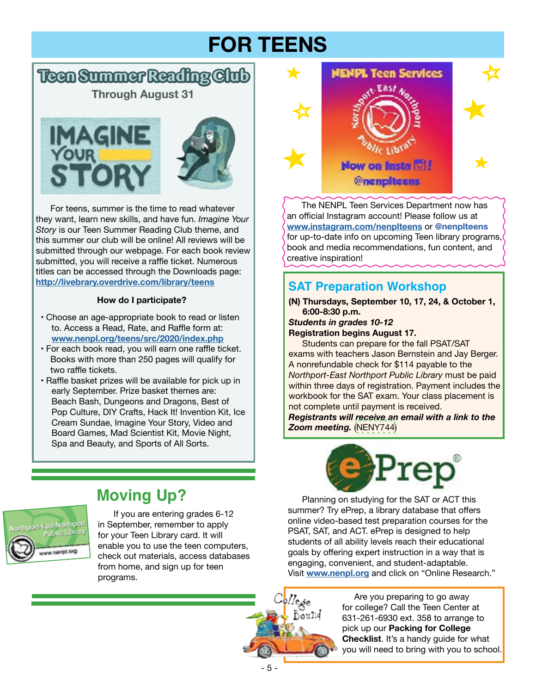## **FOR TEENS**

## **Teen Summer Reading Club**

**Through August 31**





 For teens, summer is the time to read whatever they want, learn new skills, and have fun. *Imagine Your Story* is our Teen Summer Reading Club theme, and this summer our club will be online! All reviews will be submitted through our webpage. For each book review submitted, you will receive a raffle ticket. Numerous titles can be accessed through the Downloads page: **[http://livebrary.overdrive.com/library/teens](https://livebrary.overdrive.com/library/teens)**

#### **How do I participate?**

- Choose an age-appropriate book to read or listen to. Access a Read, Rate, and Raffle form at: **[www.nenpl.org/teens/src/2020/index.php](https://www.nenpl.org/teens/src/2020/index.php)**
- For each book read, you will earn one raffle ticket. Books with more than 250 pages will qualify for two raffle tickets.
- Raffle basket prizes will be available for pick up in early September. Prize basket themes are: Beach Bash, Dungeons and Dragons, Best of Pop Culture, DIY Crafts, Hack It! Invention Kit, Ice Cream Sundae, Imagine Your Story, Video and Board Games, Mad Scientist Kit, Movie Night, Spa and Beauty, and Sports of All Sorts.



 The NENPL Teen Services Department now has an official Instagram account! Please follow us at **[www.instagram.com/nenplteens](https://www.instagram.com/nenplteens/)** or **@nenplteens** for up-to-date info on upcoming Teen library programs, book and media recommendations, fun content, and creative inspiration!

## **SAT Preparation Workshop**

**(N) Thursdays, September 10, 17, 24, & October 1, 6:00-8:30 p.m.**

*Students in grades 10-12*  **Registration begins August 17.**

 Students can prepare for the fall PSAT/SAT exams with teachers Jason Bernstein and Jay Berger. A nonrefundable check for \$114 payable to the *Northport-East Northport Public Library* must be paid within three days of registration. Payment includes the workbook for the SAT exam. Your class placement is not complete until payment is received.

*Registrants will receive an email with a link to the Zoom meeting.* [\(NENY744\)](https://search.livebrary.com/record=g1100497~S43)



Planning on studying for the SAT or ACT this summer? Try ePrep, a library database that offers online video-based test preparation courses for the PSAT, SAT, and ACT. ePrep is designed to help students of all ability levels reach their educational goals by offering expert instruction in a way that is engaging, convenient, and student-adaptable. Visit **[www.nenpl.org](https://www.nenpl.org/)** and click on "Online Research."



Are you preparing to go away for college? Call the Teen Center at 631-261-6930 ext. 358 to arrange to pick up our **Packing for College Checklist**. It's a handy guide for what you will need to bring with you to school.

## **Moving Up?**



If you are entering grades 6-12 in September, remember to apply for your Teen Library card. It will enable you to use the teen computers, check out materials, access databases from home, and sign up for teen programs.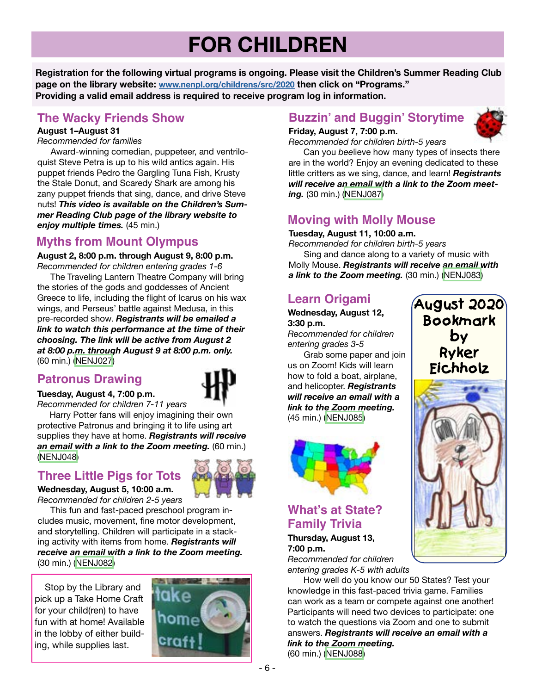## **FOR CHILDREN**

**Registration for the following virtual programs is ongoing. Please visit the Children's Summer Reading Club page on the library website: [www.nenpl.org/childrens/src/2020](https://nenpl.org/childrens/src/2020/) then click on "Programs." Providing a valid email address is required to receive program log in information.**

#### **The Wacky Friends Show**

#### **August 1–August 31**

*Recommended for families*

 Award-winning comedian, puppeteer, and ventriloquist Steve Petra is up to his wild antics again. His puppet friends Pedro the Gargling Tuna Fish, Krusty the Stale Donut, and Scaredy Shark are among his zany puppet friends that sing, dance, and drive Steve nuts! *This video is available on the Children's Summer Reading Club page of the library website to enjoy multiple times.* (45 min.)

## **Myths from Mount Olympus**

**August 2, 8:00 p.m. through August 9, 8:00 p.m.** *Recommended for children entering grades 1-6*

 The Traveling Lantern Theatre Company will bring the stories of the gods and goddesses of Ancient Greece to life, including the flight of Icarus on his wax wings, and Perseus' battle against Medusa, in this pre-recorded show. *Registrants will be emailed a link to watch this performance at the time of their choosing. The link will be active from August 2 at 8:00 p.m. through August 9 at 8:00 p.m. only.* (60 min.) [\(NENJ027](https://search.livebrary.com/record=g1099211~S43))

### **Patronus Drawing**

**Tuesday, August 4, 7:00 p.m.**

*Recommended for children 7-11 years* Harry Potter fans will enjoy imagining their own

protective Patronus and bringing it to life using art supplies they have at home. *Registrants will receive an email with a link to the Zoom meeting.* (60 min.) [\(NENJ048\)](https://search.livebrary.com/record=g1097785~S43)

### **Three Little Pigs for Tots**



**Wednesday, August 5, 10:00 a.m.** *Recommended for children 2-5 years*

 This fun and fast-paced preschool program includes music, movement, fine motor development, and storytelling. Children will participate in a stacking activity with items from home. *Registrants will receive an email with a link to the Zoom meeting.* (30 min.) ([NENJ082\)](https://search.livebrary.com/record=g1100086~S43)

 Stop by the Library and pick up a Take Home Craft for your child(ren) to have fun with at home! Available in the lobby of either building, while supplies last.



## **Buzzin' and Buggin' Storytime**

#### **Friday, August 7, 7:00 p.m.**



*Recommended for children birth-5 years*

 Can you *bee*lieve how many types of insects there are in the world? Enjoy an evening dedicated to these little critters as we sing, dance, and learn! *Registrants will receive an email with a link to the Zoom meeting.* (30 min.) ([NENJ087](https://search.livebrary.com/record=g1100405~S43))

## **Moving with Molly Mouse**

**Tuesday, August 11, 10:00 a.m.**

*Recommended for children birth-5 years*

 Sing and dance along to a variety of music with Molly Mouse. *Registrants will receive an email with a link to the Zoom meeting.* (30 min.) [\(NENJ083](https://search.livebrary.com/record=g1099982~S43))

### **Learn Origami**

**Wednesday, August 12, 3:30 p.m.** 

*Recommended for children entering grades 3-5*

 Grab some paper and join us on Zoom! Kids will learn how to fold a boat, airplane, and helicopter. *Registrants will receive an email with a link to the Zoom meeting.* (45 min.) [\(NENJ085\)](https://search.livebrary.com/record=g1100164~S43)



## **What's at State? Family Trivia**

**Thursday, August 13, 7:00 p.m.**

*Recommended for children entering grades K-5 with adults*

How well do you know our 50 States? Test your knowledge in this fast-paced trivia game. Families can work as a team or compete against one another! Participants will need two devices to participate: one to watch the questions via Zoom and one to submit answers. *Registrants will receive an email with a link to the Zoom meeting.* (60 min.) [\(NENJ088\)](https://search.livebrary.com/record=g1100408~S43)

**August 2020 Bookmark by Ryker Eichholz**

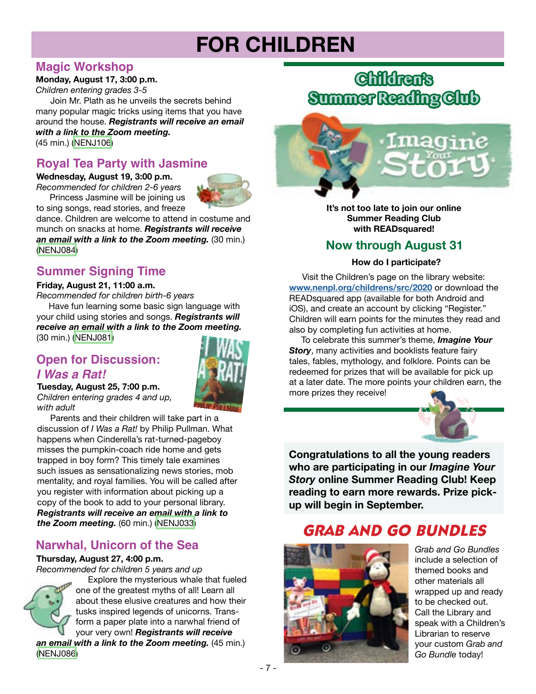## **FOR CHILDREN**

#### **Magic Workshop**

#### **Monday, August 17, 3:00 p.m.**

*Children entering grades 3-5*

 Join Mr. Plath as he unveils the secrets behind many popular magic tricks using items that you have around the house. *Registrants will receive an email with a link to the Zoom meeting.* (45 min.) [\(NENJ106\)](https://search.livebrary.com/record=g1100407~S43)

### **Royal Tea Party with Jasmine**

**Wednesday, August 19, 3:00 p.m.**

*Recommended for children 2-6 years* Princess Jasmine will be joining us to sing songs, read stories, and freeze



dance. Children are welcome to attend in costume and munch on snacks at home. *Registrants will receive an email with a link to the Zoom meeting.* (30 min.) [\(NENJ084\)](https://search.livebrary.com/record=g1100096~S43)

## **Summer Signing Time**

#### **Friday, August 21, 11:00 a.m.**

*Recommended for children birth-6 years*

 Have fun learning some basic sign language with your child using stories and songs. *Registrants will receive an email with a link to the Zoom meeting.* (30 min.) [\(NENJ081\)](https://search.livebrary.com/record=g1100010~S43)

#### **Open for Discussion:** *I Was a Rat!*



**Tuesday, August 25, 7:00 p.m.** *Children entering grades 4 and up, with adult*

 Parents and their children will take part in a discussion of *I Was a Rat!* by Philip Pullman. What happens when Cinderella's rat-turned-pageboy misses the pumpkin-coach ride home and gets trapped in boy form? This timely tale examines such issues as sensationalizing news stories, mob mentality, and royal families. You will be called after you register with information about picking up a copy of the book to add to your personal library. *Registrants will receive an email with a link to the Zoom meeting.* (60 min.) [\(NENJ033\)](https://search.livebrary.com/record=g1099114~S43)

## **Narwhal, Unicorn of the Sea**

#### **Thursday, August 27, 4:00 p.m.**

*Recommended for children 5 years and up*



 Explore the mysterious whale that fueled one of the greatest myths of all! Learn all about these elusive creatures and how their tusks inspired legends of unicorns. Transform a paper plate into a narwhal friend of your very own! *Registrants will receive* 

*an email with a link to the Zoom meeting.* (45 min.) [\(NENJ086\)](https://search.livebrary.com/record=g1100162~S43)

## **Children's Summer Reading Club**



**It's not too late to join our online Summer Reading Club with READsquared!**

## **Now through August 31**

#### **How do I participate?**

 Visit the Children's page on the library website: **[www.nenpl.org/childrens/src/2020](https://nenpl.org/childrens/src/2020/)** or download the READsquared app (available for both Android and iOS), and create an account by clicking "Register." Children will earn points for the minutes they read and also by completing fun activities at home.

 To celebrate this summer's theme, *Imagine Your*  **Story**, many activities and booklists feature fairy tales, fables, mythology, and folklore. Points can be redeemed for prizes that will be available for pick up at a later date. The more points your children earn, the more prizes they receive!



**Congratulations to all the young readers who are participating in our** *Imagine Your Story* **online Summer Reading Club! Keep reading to earn more rewards. Prize pickup will begin in September.**

## *GRAB AND GO BUNDLES*



*Grab and Go Bundles* include a selection of themed books and other materials all wrapped up and ready to be checked out. Call the Library and speak with a Children's Librarian to reserve your custom *Grab and Go Bundle* today!